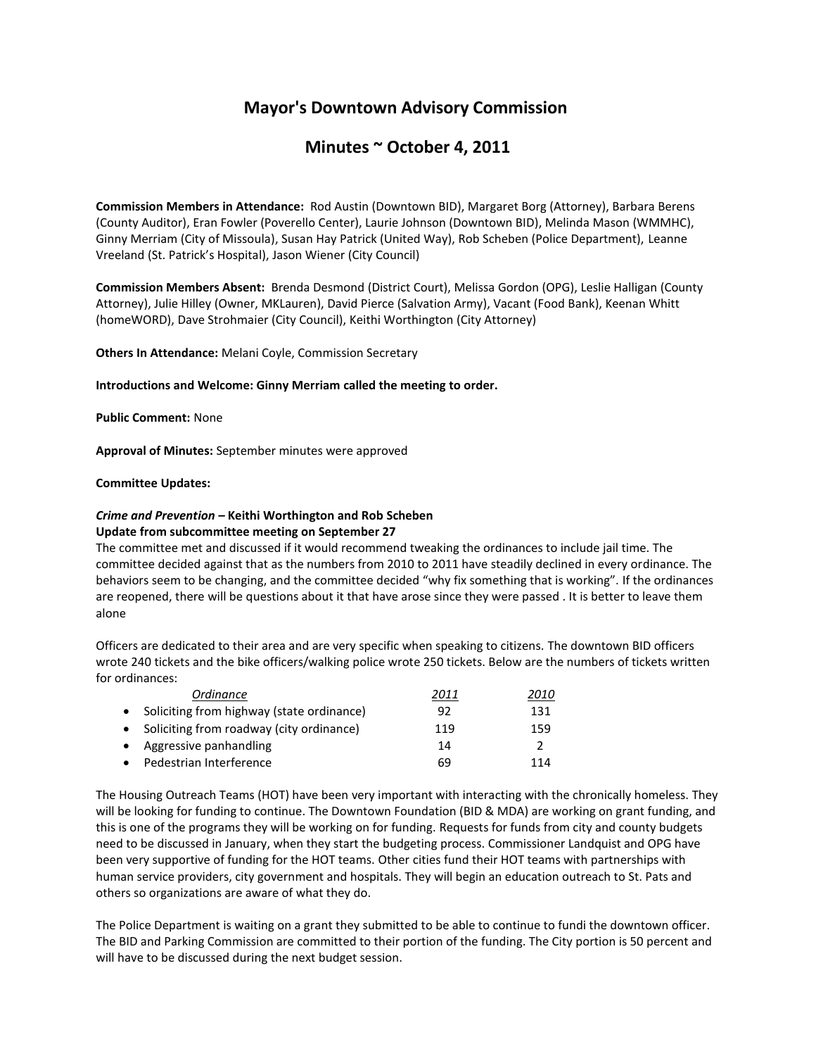# **Mayor's Downtown Advisory Commission**

## **Minutes ~ October 4, 2011**

**Commission Members in Attendance:** Rod Austin (Downtown BID), Margaret Borg (Attorney), Barbara Berens (County Auditor), Eran Fowler (Poverello Center), Laurie Johnson (Downtown BID), Melinda Mason (WMMHC), Ginny Merriam (City of Missoula), Susan Hay Patrick (United Way), Rob Scheben (Police Department), Leanne Vreeland (St. Patrick's Hospital), Jason Wiener (City Council)

**Commission Members Absent:** Brenda Desmond (District Court), Melissa Gordon (OPG), Leslie Halligan (County Attorney), Julie Hilley (Owner, MKLauren), David Pierce (Salvation Army), Vacant (Food Bank), Keenan Whitt (homeWORD), Dave Strohmaier (City Council), Keithi Worthington (City Attorney)

**Others In Attendance:** Melani Coyle, Commission Secretary

**Introductions and Welcome: Ginny Merriam called the meeting to order.** 

**Public Comment:** None

**Approval of Minutes:** September minutes were approved

### **Committee Updates:**

## *Crime and Prevention –* **Keithi Worthington and Rob Scheben Update from subcommittee meeting on September 27**

The committee met and discussed if it would recommend tweaking the ordinances to include jail time. The committee decided against that as the numbers from 2010 to 2011 have steadily declined in every ordinance. The behaviors seem to be changing, and the committee decided "why fix something that is working". If the ordinances are reopened, there will be questions about it that have arose since they were passed . It is better to leave them alone

Officers are dedicated to their area and are very specific when speaking to citizens. The downtown BID officers wrote 240 tickets and the bike officers/walking police wrote 250 tickets. Below are the numbers of tickets written for ordinances:

|           | Ordinance                                   | 2011 | 2010 |
|-----------|---------------------------------------------|------|------|
|           | • Soliciting from highway (state ordinance) | 92   | 131  |
|           | • Soliciting from roadway (city ordinance)  | 119  | 159  |
| $\bullet$ | Aggressive panhandling                      | 14   | 2    |
| $\bullet$ | Pedestrian Interference                     | 69   | 114  |

The Housing Outreach Teams (HOT) have been very important with interacting with the chronically homeless. They will be looking for funding to continue. The Downtown Foundation (BID & MDA) are working on grant funding, and this is one of the programs they will be working on for funding. Requests for funds from city and county budgets need to be discussed in January, when they start the budgeting process. Commissioner Landquist and OPG have been very supportive of funding for the HOT teams. Other cities fund their HOT teams with partnerships with human service providers, city government and hospitals. They will begin an education outreach to St. Pats and others so organizations are aware of what they do.

The Police Department is waiting on a grant they submitted to be able to continue to fundi the downtown officer. The BID and Parking Commission are committed to their portion of the funding. The City portion is 50 percent and will have to be discussed during the next budget session.